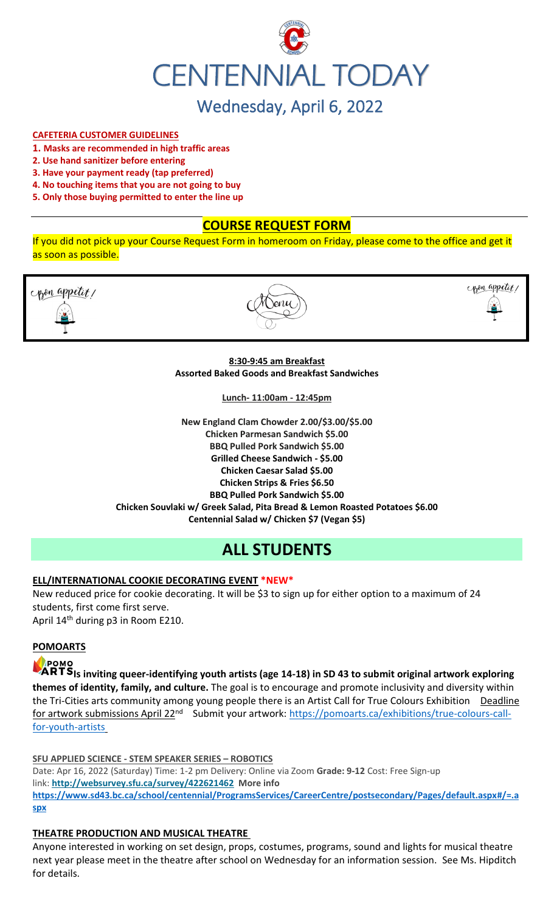

#### **CAFETERIA CUSTOMER GUIDELINES**

- **1. Masks are recommended in high traffic areas**
- **2. Use hand sanitizer before entering**
- **3. Have your payment ready (tap preferred)**
- **4. No touching items that you are not going to buy**
- **5. Only those buying permitted to enter the line up**

# **COURSE REQUEST FORM**

If you did not pick up your Course Request Form in homeroom on Friday, please come to the office and get it as soon as possible.



#### **8:30-9:45 am Breakfast Assorted Baked Goods and Breakfast Sandwiches**

**Lunch- 11:00am - 12:45pm**

**New England Clam Chowder 2.00/\$3.00/\$5.00 Chicken Parmesan Sandwich \$5.00 BBQ Pulled Pork Sandwich \$5.00 Grilled Cheese Sandwich - \$5.00 Chicken Caesar Salad \$5.00 Chicken Strips & Fries \$6.50 BBQ Pulled Pork Sandwich \$5.00 Chicken Souvlaki w/ Greek Salad, Pita Bread & Lemon Roasted Potatoes \$6.00 Centennial Salad w/ Chicken \$7 (Vegan \$5)**

# **ALL STUDENTS**

#### **ELL/INTERNATIONAL COOKIE DECORATING EVENT \*NEW\***

New reduced price for cookie decorating. It will be \$3 to sign up for either option to a maximum of 24 students, first come first serve. April 14<sup>th</sup> during p3 in Room E210.

#### **POMOARTS**

# POMO

**ARTS** Is inviting queer-identifying youth artists (age 14-18) in SD 43 to submit original artwork exploring **themes of identity, family, and culture.** The goal is to encourage and promote inclusivity and diversity within the Tri-Cities arts community among young people there is an Artist Call for True Colours Exhibition Deadline for artwork submissions April 22<sup>nd</sup> Submit your artwork: [https://pomoarts.ca/exhibitions/true-colours-call](https://pomoarts.ca/exhibitions/true-colours-call-for-youth-artists)[for-youth-artists](https://pomoarts.ca/exhibitions/true-colours-call-for-youth-artists)

#### **SFU APPLIED SCIENCE - STEM SPEAKER SERIES – ROBOTICS**

Date: Apr 16, 2022 (Saturday) Time: 1-2 pm Delivery: Online via Zoom **Grade: 9-12** Cost: Free Sign-up link: **<http://websurvey.sfu.ca/survey/422621462> More info [https://www.sd43.bc.ca/school/centennial/ProgramsServices/CareerCentre/postsecondary/Pages/default.aspx#/=.a](https://www.sd43.bc.ca/school/centennial/ProgramsServices/CareerCentre/postsecondary/Pages/default.aspx#/=) [spx](https://www.sd43.bc.ca/school/centennial/ProgramsServices/CareerCentre/postsecondary/Pages/default.aspx#/=)**

#### **THEATRE PRODUCTION AND MUSICAL THEATRE**

Anyone interested in working on set design, props, costumes, programs, sound and lights for musical theatre next year please meet in the theatre after school on Wednesday for an information session. See Ms. Hipditch for details.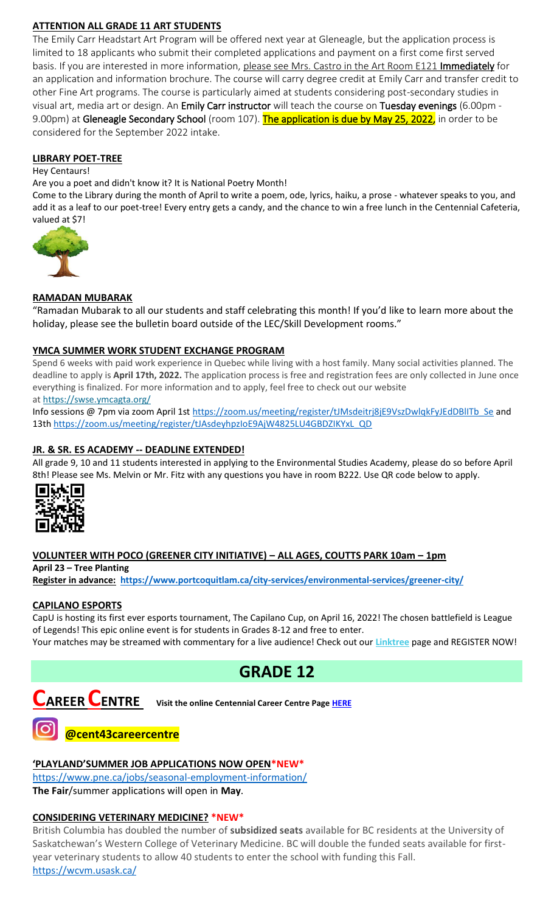# **ATTENTION ALL GRADE 11 ART STUDENTS**

The Emily Carr Headstart Art Program will be offered next year at Gleneagle, but the application process is limited to 18 applicants who submit their completed applications and payment on a first come first served basis. If you are interested in more information, please see Mrs. Castro in the Art Room E121 Immediately for an application and information brochure. The course will carry degree credit at Emily Carr and transfer credit to other Fine Art programs. The course is particularly aimed at students considering post-secondary studies in visual art, media art or design. An Emily Carr instructor will teach the course on Tuesday evenings (6.00pm - 9.00pm) at Gleneagle Secondary School (room 107). The application is due by May 25, 2022, in order to be considered for the September 2022 intake.

#### **LIBRARY POET-TREE**

#### Hey Centaurs!

Are you a poet and didn't know it? It is National Poetry Month!

Come to the Library during the month of April to write a poem, ode, lyrics, haiku, a prose - whatever speaks to you, and add it as a leaf to our poet-tree! Every entry gets a candy, and the chance to win a free lunch in the Centennial Cafeteria, valued at \$7!



#### **RAMADAN MUBARAK**

"Ramadan Mubarak to all our students and staff celebrating this month! If you'd like to learn more about the holiday, please see the bulletin board outside of the LEC/Skill Development rooms."

#### **YMCA SUMMER WORK STUDENT EXCHANGE PROGRAM**

Spend 6 weeks with paid work experience in Quebec while living with a host family. Many social activities planned. The deadline to apply is **April 17th, 2022.** The application process is free and registration fees are only collected in June once everything is finalized. For more information and to apply, feel free to check out our website at <https://swse.ymcagta.org/>

Info sessions @ 7pm via zoom April 1s[t https://zoom.us/meeting/register/tJMsdeitrj8jE9VszDwlqkFyJEdDBlITb\\_Se](https://zoom.us/meeting/register/tJMsdeitrj8jE9VszDwlqkFyJEdDBlITb_Se) and 13th [https://zoom.us/meeting/register/tJAsdeyhpzIoE9AjW4825LU4GBDZIKYxL\\_QD](https://zoom.us/meeting/register/tJAsdeyhpzIoE9AjW4825LU4GBDZIKYxL_QD)

#### **JR. & SR. ES ACADEMY -- DEADLINE EXTENDED!**

All grade 9, 10 and 11 students interested in applying to the Environmental Studies Academy, please do so before April 8th! Please see Ms. Melvin or Mr. Fitz with any questions you have in room B222. Use QR code below to apply.



# **VOLUNTEER WITH POCO (GREENER CITY INITIATIVE) – ALL AGES, COUTTS PARK 10am – 1pm**

**April 23 – Tree Planting**

**Register in advance: <https://www.portcoquitlam.ca/city-services/environmental-services/greener-city/>**

#### **CAPILANO ESPORTS**

CapU is hosting its first ever esports tournament, The Capilano Cup, on April 16, 2022! The chosen battlefield is League of Legends! This epic online event is for students in Grades 8-12 and free to enter.

Your matches may be streamed with commentary for a live audience! Check out our **[Linktree](https://r20.rs6.net/tn.jsp?f=001TV5t6hvFEFpmqZ2KIJsRm_8_tZvmBTskK5EZhuhAwnd-AsBblXHT0oLCkv240W_X6yn70vNSoZMhpHydzQFokmFJte1QihkOmWyHEEdpefQQkF2m95hL64lqlrIm0DP1OmyM7kg-aupFxN5c0Zflag==&c=xWxYCxrh0jI56wNEyWlUltDjoDxbuS7cAkcm-CGdbhXD_wkXysw4wQ==&ch=hXVfGtAgW-ZP40ONb-DXcfozpnjfYR8-9naNHp1boINpgvZcTLJVsw==)** page and REGISTER NOW!

# **GRADE 12**



**CAREER CENTRE Visit the online Centennial Career Centre Page [HERE](https://www.sd43.bc.ca/school/centennial/ProgramsServices/CareerCentre/experiences/Pages/default.aspx#/=)**

# **@cent43careercentre**

#### **'PLAYLAND'SUMMER JOB APPLICATIONS NOW OPEN\*NEW\***

<https://www.pne.ca/jobs/seasonal-employment-information/> **The Fair**/summer applications will open in **May**.

#### **CONSIDERING VETERINARY MEDICINE? \*NEW\***

British Columbia has doubled the number of **subsidized seats** available for BC residents at the University of Saskatchewan's Western College of Veterinary Medicine. BC will double the funded seats available for firstyear veterinary students to allow 40 students to enter the school with funding this Fall. <https://wcvm.usask.ca/>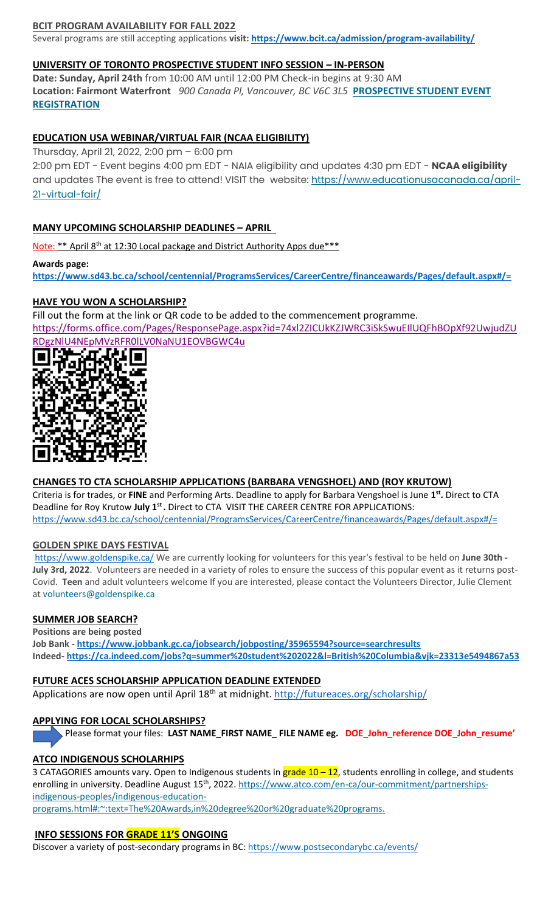#### **BCIT PROGRAM AVAILABILITY FOR FALL 2022**

Several programs are still accepting applications **visit[: https://www.bcit.ca/admission/program-availability/](https://www.bcit.ca/admission/program-availability/)**

#### **UNIVERSITY OF TORONTO PROSPECTIVE STUDENT INFO SESSION – IN-PERSON**

**Date: Sunday, April 24th** from 10:00 AM until 12:00 PM Check-in begins at 9:30 AM **Location: Fairmont Waterfront** *900 Canada Pl, Vancouver, BC V6C 3L5* **[PROSPECTIVE STUDENT EVENT](https://mx.technolutions.net/ss/c/VpDhrCrvzjOrNk6AZ3TbHjFLbqWBZPhhofjteQ2YNx82CaUosH1dcVhwZYliQGg4fqoAmVG1Ka_8jV1ZqG7kHkEUUWMfwc8VPjIe6VXHcqaY02ME2QCvDFADSudDQ-wU/3kx/RvkltXeQS-KcXTsaf7PNeQ/h1/qokCettkLEwcVkww2NiO3af-alqvB1eOXLnFAgxLQVQ)  [REGISTRATION](https://mx.technolutions.net/ss/c/VpDhrCrvzjOrNk6AZ3TbHjFLbqWBZPhhofjteQ2YNx82CaUosH1dcVhwZYliQGg4fqoAmVG1Ka_8jV1ZqG7kHkEUUWMfwc8VPjIe6VXHcqaY02ME2QCvDFADSudDQ-wU/3kx/RvkltXeQS-KcXTsaf7PNeQ/h1/qokCettkLEwcVkww2NiO3af-alqvB1eOXLnFAgxLQVQ)**

# **EDUCATION USA WEBINAR/VIRTUAL FAIR (NCAA ELIGIBILITY)**

Thursday, April 21, 2022, 2:00 pm – 6:00 pm

2:00 pm EDT - Event begins 4:00 pm EDT - NAIA eligibility and updates 4:30 pm EDT - **NCAA eligibility** and updates The event is free to attend! VISIT the website: [https://www.educationusacanada.ca/april-](https://www.educationusacanada.ca/april-21-virtual-fair/)[21-virtual-fair/](https://www.educationusacanada.ca/april-21-virtual-fair/)

### **MANY UPCOMING SCHOLARSHIP DEADLINES – APRIL**

Note: \*\* April 8<sup>th</sup> at 12:30 Local package and District Authority Apps due\*\*\*

**Awards page: <https://www.sd43.bc.ca/school/centennial/ProgramsServices/CareerCentre/financeawards/Pages/default.aspx#/=>**

# **HAVE YOU WON A SCHOLARSHIP?**

Fill out the form at the link or QR code to be added to the commencement programme.

[https://forms.office.com/Pages/ResponsePage.aspx?id=74xl2ZICUkKZJWRC3iSkSwuEIlUQFhBOpXf92UwjudZU](https://forms.office.com/Pages/ResponsePage.aspx?id=74xl2ZICUkKZJWRC3iSkSwuEIlUQFhBOpXf92UwjudZURDgzNlU4NEpMVzRFR0lLV0NaNU1EOVBGWC4u) [RDgzNlU4NEpMVzRFR0lLV0NaNU1EOVBGWC4u](https://forms.office.com/Pages/ResponsePage.aspx?id=74xl2ZICUkKZJWRC3iSkSwuEIlUQFhBOpXf92UwjudZURDgzNlU4NEpMVzRFR0lLV0NaNU1EOVBGWC4u)



# **CHANGES TO CTA SCHOLARSHIP APPLICATIONS (BARBARA VENGSHOEL) AND (ROY KRUTOW)**

Criteria is for trades, or **FINE** and Performing Arts. Deadline to apply for Barbara Vengshoel is June **1 st .** Direct to CTA Deadline for Roy Krutow **July 1st .** Direct to CTA VISIT THE CAREER CENTRE FOR APPLICATIONS: <https://www.sd43.bc.ca/school/centennial/ProgramsServices/CareerCentre/financeawards/Pages/default.aspx#/=>

#### **GOLDEN SPIKE DAYS FESTIVAL**

<https://www.goldenspike.ca/> We are currently looking for volunteers for this year's festival to be held on **June 30th - July 3rd, 2022**. Volunteers are needed in a variety of roles to ensure the success of this popular event as it returns post-Covid. **Teen** and adult volunteers welcome If you are interested, please contact the Volunteers Director, Julie Clement at [volunteers@goldenspike.ca](mailto:volunteers@goldenspike.ca)

#### **SUMMER JOB SEARCH?**

**Positions are being posted Job Bank - <https://www.jobbank.gc.ca/jobsearch/jobposting/35965594?source=searchresults> Indeed- <https://ca.indeed.com/jobs?q=summer%20student%202022&l=British%20Columbia&vjk=23313e5494867a53>**

#### **FUTURE ACES SCHOLARSHIP APPLICATION DEADLINE EXTENDED**

Applications are now open until April 18<sup>th</sup> at midnight.<http://futureaces.org/scholarship/>

#### **APPLYING FOR LOCAL SCHOLARSHIPS?**

Please format your files: **LAST NAME\_FIRST NAME\_ FILE NAME eg. DOE\_John\_reference DOE\_John\_resume'**

# **ATCO INDIGENOUS SCHOLARHIPS**

3 CATAGORIES amounts vary. Open to Indigenous students in grade 10 – 12, students enrolling in college, and students enrolling in university. Deadline August 15<sup>th</sup>, 2022[. https://www.atco.com/en-ca/our-commitment/partnerships](https://www.atco.com/en-ca/our-commitment/partnerships-indigenous-peoples/indigenous-education-programs.html#:~:text=The%20Awards,in%20degree%20or%20graduate%20programs.)[indigenous-peoples/indigenous-education-](https://www.atco.com/en-ca/our-commitment/partnerships-indigenous-peoples/indigenous-education-programs.html#:~:text=The%20Awards,in%20degree%20or%20graduate%20programs.)

[programs.html#:~:text=The%20Awards,in%20degree%20or%20graduate%20programs.](https://www.atco.com/en-ca/our-commitment/partnerships-indigenous-peoples/indigenous-education-programs.html#:~:text=The%20Awards,in%20degree%20or%20graduate%20programs.)

#### **INFO SESSIONS FOR GRADE 11'S ONGOING**

Discover a variety of post-secondary programs in BC:<https://www.postsecondarybc.ca/events/>